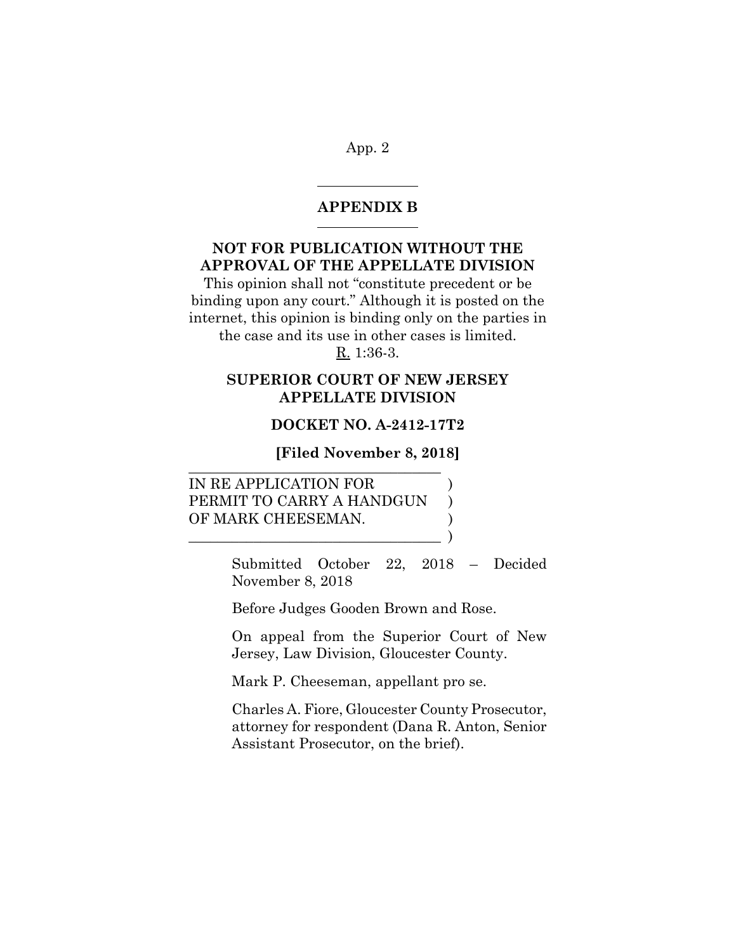#### **APPENDIX B**  $\overline{a}$

 $\overline{a}$ 

# **NOT FOR PUBLICATION WITHOUT THE APPROVAL OF THE APPELLATE DIVISION**

This opinion shall not "constitute precedent or be binding upon any court." Although it is posted on the internet, this opinion is binding only on the parties in the case and its use in other cases is limited.

R. 1:36-3.

# **SUPERIOR COURT OF NEW JERSEY APPELLATE DIVISION**

## **DOCKET NO. A-2412-17T2**

**[Filed November 8, 2018]** \_\_\_\_\_\_\_\_\_\_\_\_\_\_\_\_\_\_\_\_\_\_\_\_\_\_\_\_\_\_\_\_\_\_\_

IN RE APPLICATION FOR PERMIT TO CARRY A HANDGUN ) OF MARK CHEESEMAN.  $\qquad \qquad \qquad$ 

> Submitted October 22, 2018 – Decided November 8, 2018

Before Judges Gooden Brown and Rose.

On appeal from the Superior Court of New Jersey, Law Division, Gloucester County.

Mark P. Cheeseman, appellant pro se.

Charles A. Fiore, Gloucester County Prosecutor, attorney for respondent (Dana R. Anton, Senior Assistant Prosecutor, on the brief).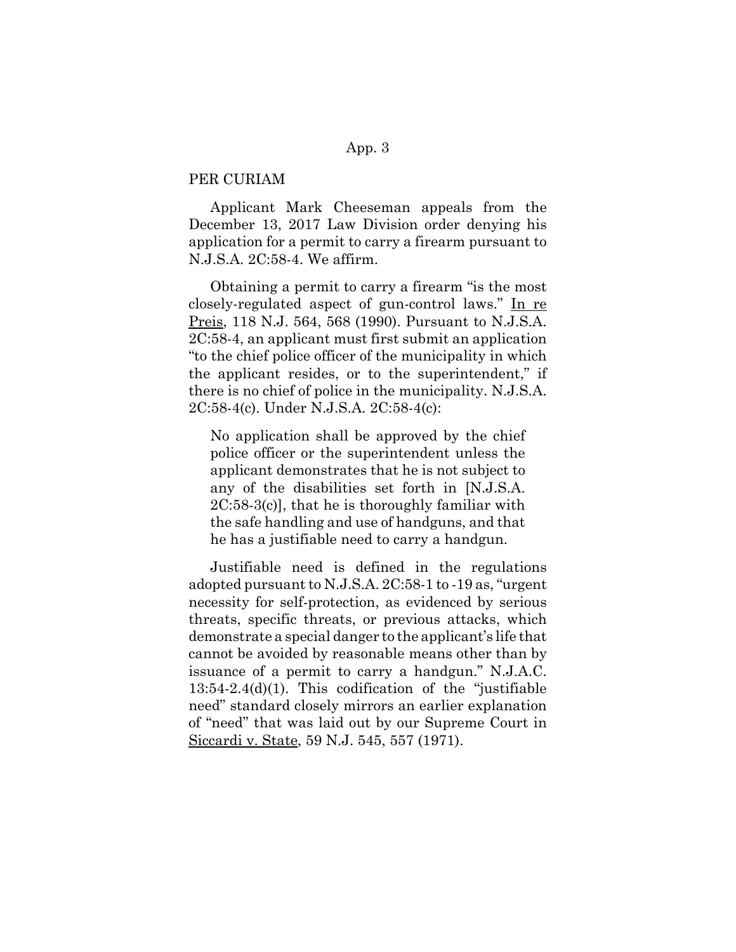### PER CURIAM

Applicant Mark Cheeseman appeals from the December 13, 2017 Law Division order denying his application for a permit to carry a firearm pursuant to N.J.S.A. 2C:58-4. We affirm.

Obtaining a permit to carry a firearm "is the most closely-regulated aspect of gun-control laws." In re Preis, 118 N.J. 564, 568 (1990). Pursuant to N.J.S.A. 2C:58-4, an applicant must first submit an application "to the chief police officer of the municipality in which the applicant resides, or to the superintendent," if there is no chief of police in the municipality. N.J.S.A. 2C:58-4(c). Under N.J.S.A. 2C:58-4(c):

No application shall be approved by the chief police officer or the superintendent unless the applicant demonstrates that he is not subject to any of the disabilities set forth in [N.J.S.A. 2C:58-3(c)], that he is thoroughly familiar with the safe handling and use of handguns, and that he has a justifiable need to carry a handgun.

Justifiable need is defined in the regulations adopted pursuant to N.J.S.A. 2C:58-1 to -19 as, "urgent necessity for self-protection, as evidenced by serious threats, specific threats, or previous attacks, which demonstrate a special danger to the applicant's life that cannot be avoided by reasonable means other than by issuance of a permit to carry a handgun." N.J.A.C. 13:54-2.4(d)(1). This codification of the "justifiable need" standard closely mirrors an earlier explanation of "need" that was laid out by our Supreme Court in Siccardi v. State, 59 N.J. 545, 557 (1971).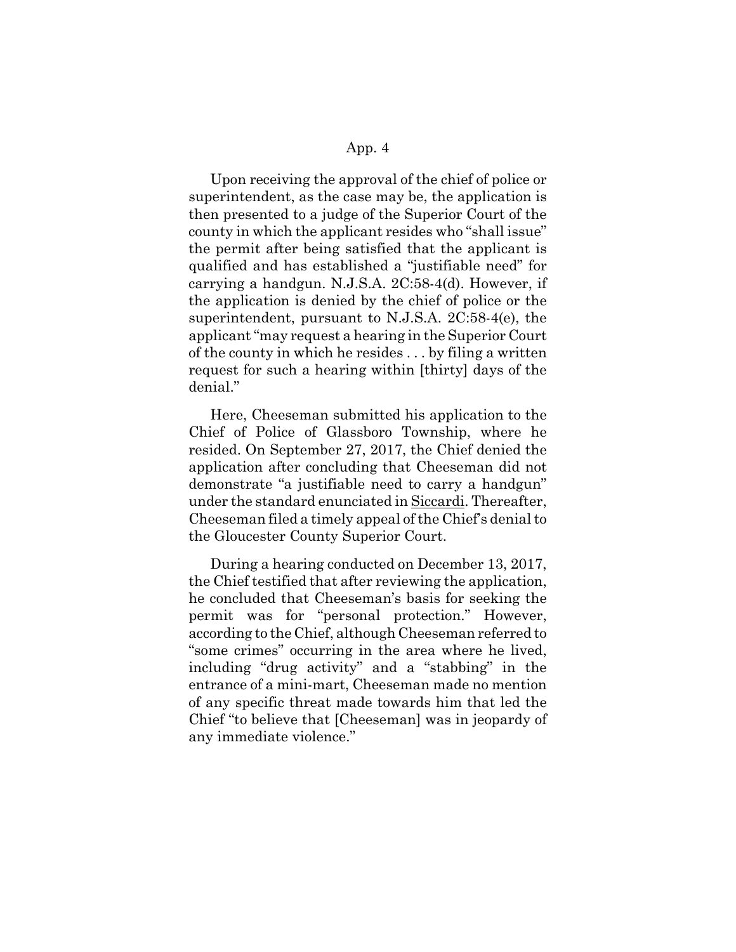Upon receiving the approval of the chief of police or superintendent, as the case may be, the application is then presented to a judge of the Superior Court of the county in which the applicant resides who "shall issue" the permit after being satisfied that the applicant is qualified and has established a "justifiable need" for carrying a handgun. N.J.S.A. 2C:58-4(d). However, if the application is denied by the chief of police or the superintendent, pursuant to N.J.S.A. 2C:58-4(e), the applicant "may request a hearing in the Superior Court of the county in which he resides . . . by filing a written request for such a hearing within [thirty] days of the denial."

Here, Cheeseman submitted his application to the Chief of Police of Glassboro Township, where he resided. On September 27, 2017, the Chief denied the application after concluding that Cheeseman did not demonstrate "a justifiable need to carry a handgun" under the standard enunciated in Siccardi. Thereafter, Cheeseman filed a timely appeal of the Chief's denial to the Gloucester County Superior Court.

During a hearing conducted on December 13, 2017, the Chief testified that after reviewing the application, he concluded that Cheeseman's basis for seeking the permit was for "personal protection." However, according to the Chief, although Cheeseman referred to "some crimes" occurring in the area where he lived, including "drug activity" and a "stabbing" in the entrance of a mini-mart, Cheeseman made no mention of any specific threat made towards him that led the Chief "to believe that [Cheeseman] was in jeopardy of any immediate violence."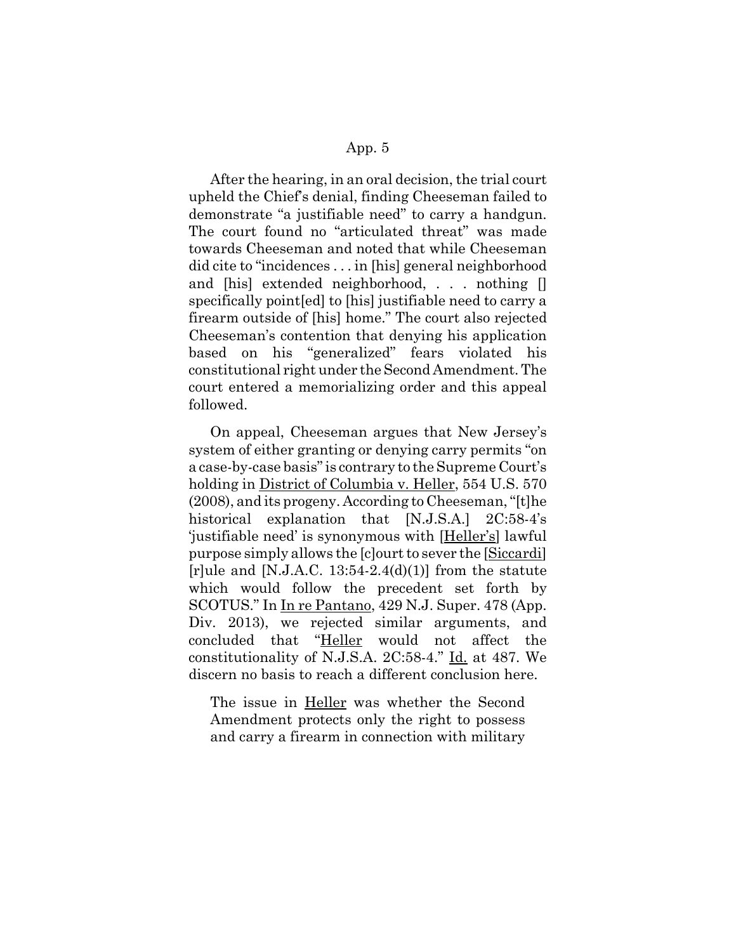After the hearing, in an oral decision, the trial court upheld the Chief's denial, finding Cheeseman failed to demonstrate "a justifiable need" to carry a handgun. The court found no "articulated threat" was made towards Cheeseman and noted that while Cheeseman did cite to "incidences . . . in [his] general neighborhood and [his] extended neighborhood, . . . nothing [] specifically point[ed] to [his] justifiable need to carry a firearm outside of [his] home." The court also rejected Cheeseman's contention that denying his application based on his "generalized" fears violated his constitutional right under the Second Amendment. The court entered a memorializing order and this appeal followed.

On appeal, Cheeseman argues that New Jersey's system of either granting or denying carry permits "on a case-by-case basis" is contrary to the Supreme Court's holding in District of Columbia v. Heller, 554 U.S. 570 (2008), and its progeny. According to Cheeseman, "[t]he historical explanation that [N.J.S.A.] 2C:58-4's 'justifiable need' is synonymous with [Heller's] lawful purpose simply allows the [c]ourt to sever the [Siccardi] [r]ule and [N.J.A.C. 13:54-2.4(d)(1)] from the statute which would follow the precedent set forth by SCOTUS." In In re Pantano, 429 N.J. Super. 478 (App. Div. 2013), we rejected similar arguments, and concluded that "Heller would not affect the constitutionality of N.J.S.A. 2C:58-4." Id. at 487. We discern no basis to reach a different conclusion here.

The issue in Heller was whether the Second Amendment protects only the right to possess and carry a firearm in connection with military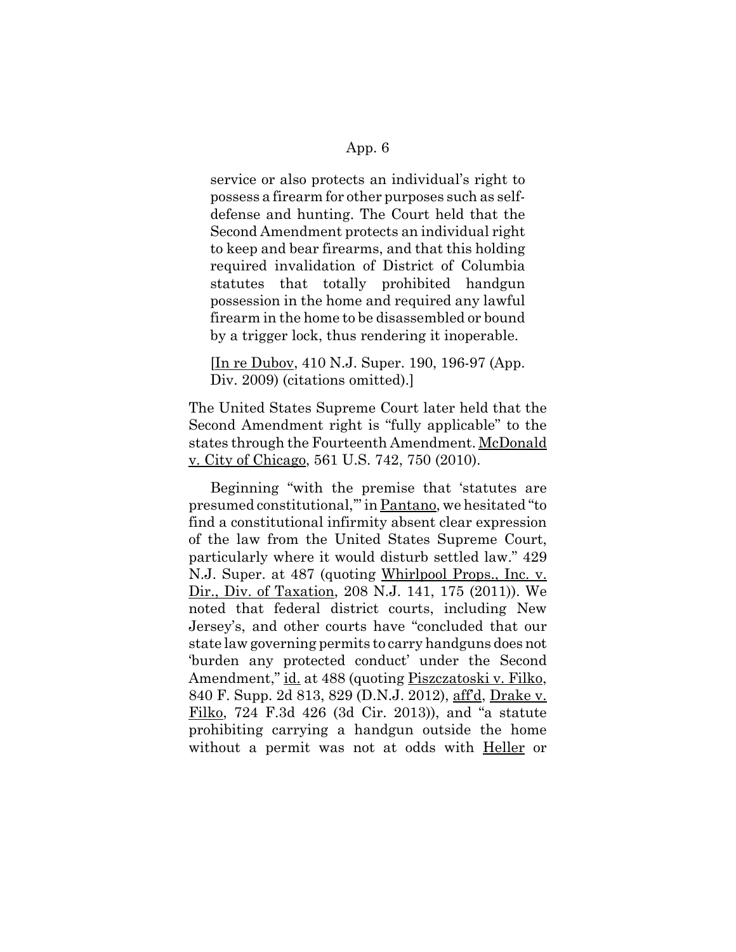service or also protects an individual's right to possess a firearm for other purposes such as selfdefense and hunting. The Court held that the Second Amendment protects an individual right to keep and bear firearms, and that this holding required invalidation of District of Columbia statutes that totally prohibited handgun possession in the home and required any lawful firearm in the home to be disassembled or bound by a trigger lock, thus rendering it inoperable.

[In re Dubov, 410 N.J. Super. 190, 196-97 (App. Div. 2009) (citations omitted).

The United States Supreme Court later held that the Second Amendment right is "fully applicable" to the states through the Fourteenth Amendment. McDonald v. City of Chicago, 561 U.S. 742, 750 (2010).

Beginning "with the premise that 'statutes are presumed constitutional,'" in Pantano, we hesitated "to find a constitutional infirmity absent clear expression of the law from the United States Supreme Court, particularly where it would disturb settled law." 429 N.J. Super. at 487 (quoting Whirlpool Props., Inc. v. Dir., Div. of Taxation, 208 N.J. 141, 175 (2011)). We noted that federal district courts, including New Jersey's, and other courts have "concluded that our state law governing permits to carry handguns does not 'burden any protected conduct' under the Second Amendment," id. at 488 (quoting Piszczatoski v. Filko, 840 F. Supp. 2d 813, 829 (D.N.J. 2012), aff'd, Drake v. Filko, 724 F.3d 426 (3d Cir. 2013)), and "a statute prohibiting carrying a handgun outside the home without a permit was not at odds with Heller or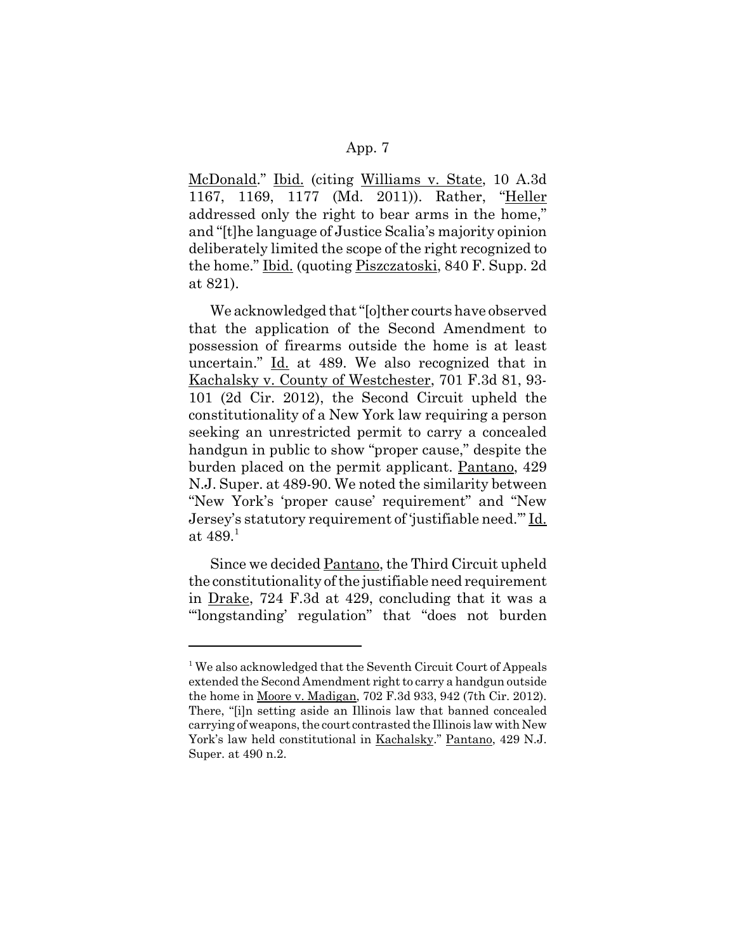McDonald." Ibid. (citing Williams v. State, 10 A.3d 1167, 1169, 1177 (Md. 2011)). Rather, "Heller addressed only the right to bear arms in the home," and "[t]he language of Justice Scalia's majority opinion deliberately limited the scope of the right recognized to the home." Ibid. (quoting Piszczatoski, 840 F. Supp. 2d at 821).

We acknowledged that "[o]ther courts have observed that the application of the Second Amendment to possession of firearms outside the home is at least uncertain." Id. at 489. We also recognized that in Kachalsky v. County of Westchester, 701 F.3d 81, 93- 101 (2d Cir. 2012), the Second Circuit upheld the constitutionality of a New York law requiring a person seeking an unrestricted permit to carry a concealed handgun in public to show "proper cause," despite the burden placed on the permit applicant. Pantano, 429 N.J. Super. at 489-90. We noted the similarity between "New York's 'proper cause' requirement" and "New Jersey's statutory requirement of 'justifiable need.'" Id. at  $489.<sup>1</sup>$ 

Since we decided Pantano, the Third Circuit upheld the constitutionality of the justifiable need requirement in Drake, 724 F.3d at 429, concluding that it was a "'longstanding' regulation" that "does not burden

<sup>&</sup>lt;sup>1</sup> We also acknowledged that the Seventh Circuit Court of Appeals extended the Second Amendment right to carry a handgun outside the home in Moore v. Madigan, 702 F.3d 933, 942 (7th Cir. 2012). There, "[i]n setting aside an Illinois law that banned concealed carrying of weapons, the court contrasted the Illinois law with New York's law held constitutional in Kachalsky." Pantano, 429 N.J. Super. at 490 n.2.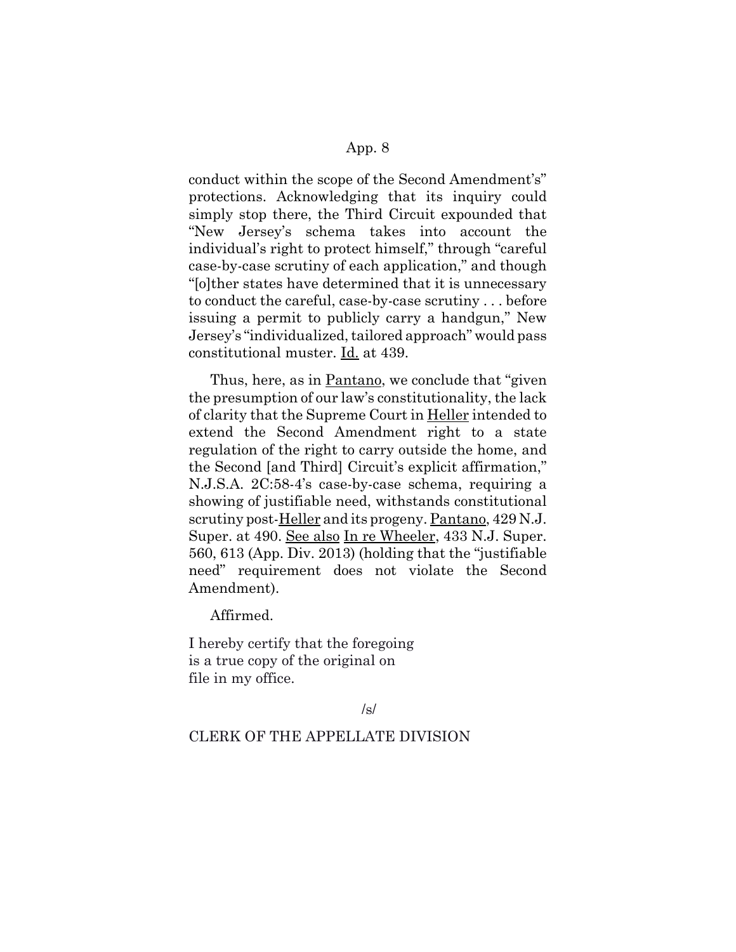conduct within the scope of the Second Amendment's" protections. Acknowledging that its inquiry could simply stop there, the Third Circuit expounded that "New Jersey's schema takes into account the individual's right to protect himself," through "careful case-by-case scrutiny of each application," and though "[o]ther states have determined that it is unnecessary to conduct the careful, case-by-case scrutiny . . . before issuing a permit to publicly carry a handgun," New Jersey's "individualized, tailored approach" would pass constitutional muster. Id. at 439.

Thus, here, as in Pantano, we conclude that "given" the presumption of our law's constitutionality, the lack of clarity that the Supreme Court in Heller intended to extend the Second Amendment right to a state regulation of the right to carry outside the home, and the Second [and Third] Circuit's explicit affirmation," N.J.S.A. 2C:58-4's case-by-case schema, requiring a showing of justifiable need, withstands constitutional scrutiny post-Heller and its progeny. Pantano, 429 N.J. Super. at 490. See also In re Wheeler, 433 N.J. Super. 560, 613 (App. Div. 2013) (holding that the "justifiable need" requirement does not violate the Second Amendment).

Affirmed.

I hereby certify that the foregoing is a true copy of the original on file in my office.

#### /s/

### CLERK OF THE APPELLATE DIVISION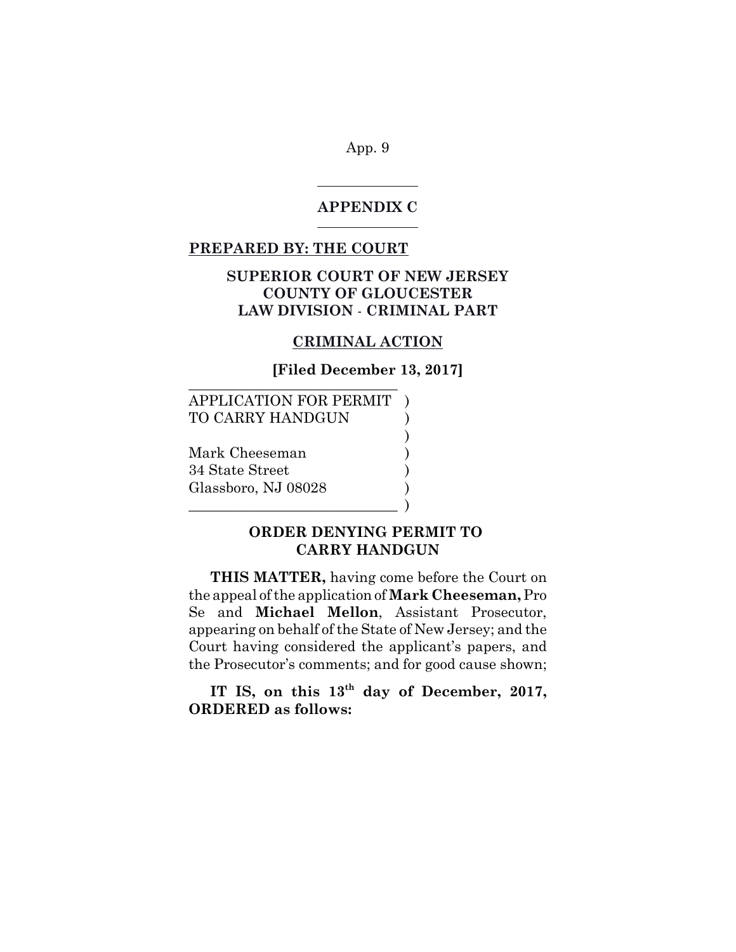#### **APPENDIX C**

## **PREPARED BY: THE COURT**

 $\overline{a}$ 

 $\overline{a}$ 

# **SUPERIOR COURT OF NEW JERSEY COUNTY OF GLOUCESTER LAW DIVISION** - **CRIMINAL PART**

#### **CRIMINAL ACTION**

**[Filed December 13, 2017]** 

)

APPLICATION FOR PERMIT ) TO CARRY HANDGUN

 $\qquad \qquad$  )

Mark Cheeseman ) 34 State Street ) Glassboro, NJ 08028 )

# **ORDER DENYING PERMIT TO CARRY HANDGUN**

**THIS MATTER,** having come before the Court on the appeal of the application of **Mark Cheeseman,** Pro Se and **Michael Mellon**, Assistant Prosecutor, appearing on behalf of the State of New Jersey; and the Court having considered the applicant's papers, and the Prosecutor's comments; and for good cause shown;

**IT IS, on this 13th day of December, 2017, ORDERED as follows:**